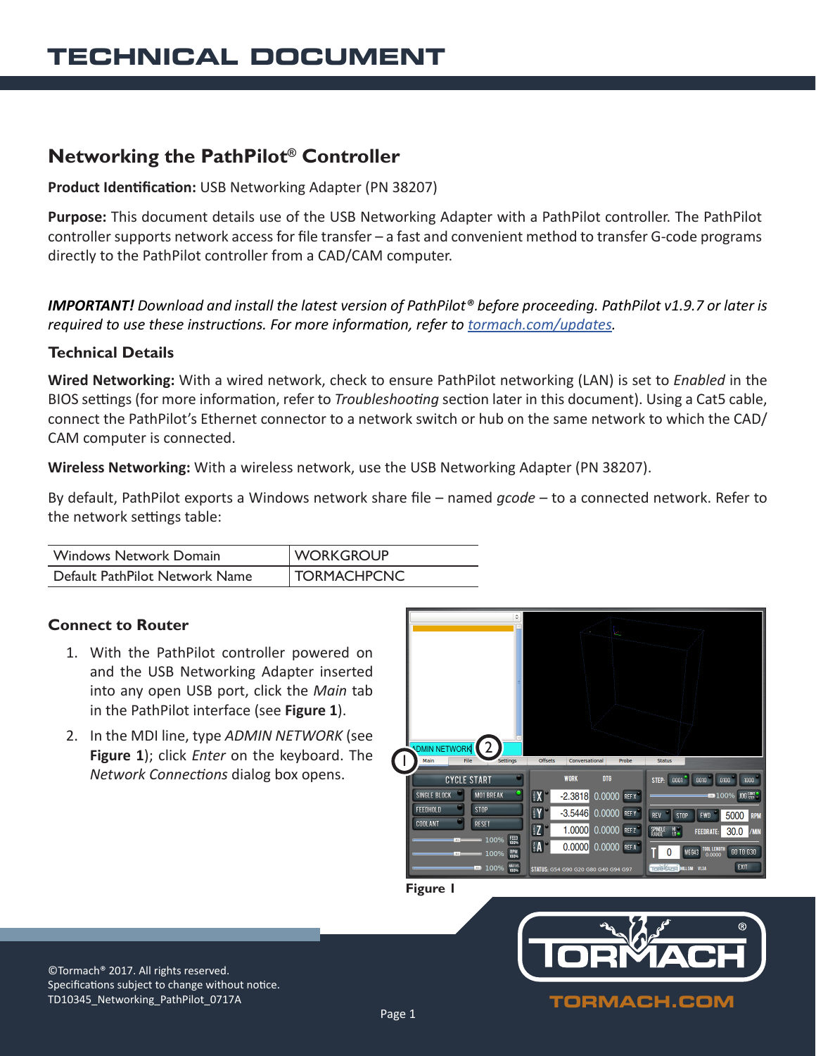# **Networking the PathPilot® Controller**

## **Product Identification:** USB Networking Adapter (PN 38207)

**Purpose:** This document details use of the USB Networking Adapter with a PathPilot controller. The PathPilot controller supports network access for file transfer – a fast and convenient method to transfer G-code programs directly to the PathPilot controller from a CAD/CAM computer.

*IMPORTANT! Download and install the latest version of PathPilot® before proceeding. PathPilot v1.9.7 or later is required to use these instructions. For more information, refer to [tormach.com/updates](https://tormach.com/updates).*

### **Technical Details**

**Wired Networking:** With a wired network, check to ensure PathPilot networking (LAN) is set to *Enabled* in the BIOS settings (for more information, refer to *Troubleshooting* section later in this document). Using a Cat5 cable, connect the PathPilot's Ethernet connector to a network switch or hub on the same network to which the CAD/ CAM computer is connected.

**Wireless Networking:** With a wireless network, use the USB Networking Adapter (PN 38207).

By default, PathPilot exports a Windows network share file – named *gcode* – to a connected network. Refer to the network settings table:

| Windows Network Domain         | <b>WORKGROUP</b>   |
|--------------------------------|--------------------|
| Default PathPilot Network Name | <b>TORMACHPCNC</b> |

# **Connect to Router**

- 1. With the PathPilot controller powered on and the USB Networking Adapter inserted into any open USB port, click the *Main* tab in the PathPilot interface (see **Figure 1**).
- 2. In the MDI line, type *ADMIN NETWORK* (see **Figure 1**); click *Enter* on the keyboard. The *Network Connections* dialog box opens.



#### **Figure 1**



©Tormach® 2017. All rights reserved. Specifications subject to change without notice. TD10345\_Networking\_PathPilot\_0717A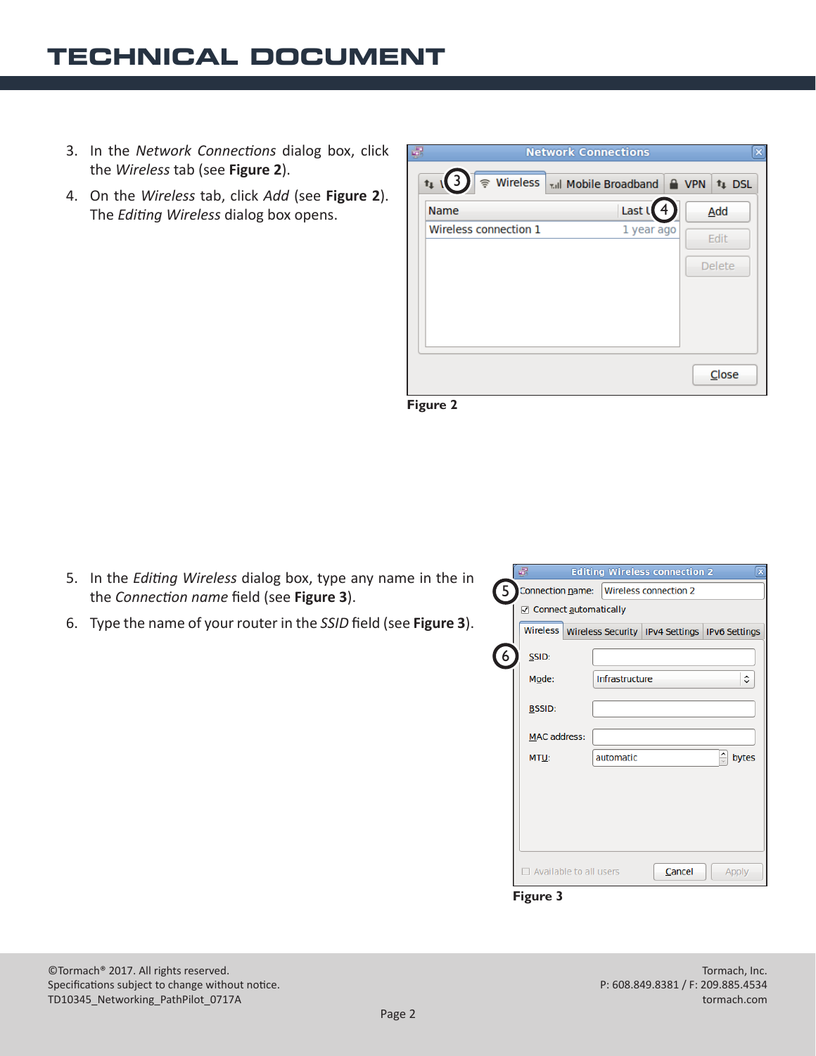# **TECHNICAL DOCUMENT**

- 3. In the *Network Connections* dialog box, click the *Wireless* tab (see **Figure 2**).
- 4. On the *Wireless* tab, click *Add* (see **Figure 2**). The *Editing Wireless* dialog box opens.

| J.<br><b>Network Connections</b><br>× |                                                       |  |               |
|---------------------------------------|-------------------------------------------------------|--|---------------|
| $t_{11}(3)$                           | • Wireless   <sub>Till</sub> Mobile Broadband   A VPN |  | <b>1</b> DSL  |
| Name                                  | Last L                                                |  | Add           |
| Wireless connection 1                 | 1 year ago                                            |  | Edit          |
|                                       |                                                       |  | <b>Delete</b> |
|                                       |                                                       |  |               |
|                                       |                                                       |  |               |
|                                       |                                                       |  |               |
|                                       |                                                       |  |               |
|                                       |                                                       |  | Close         |
|                                       |                                                       |  |               |

**Figure 2**

- 5. In the *Editing Wireless* dialog box, type any name in the in the *Connection name* field (see **Figure 3**).
- 6. Type the name of your router in the *SSID* field (see **Figure 3**).

|   | a                                         | <b>Editing Wireless connection 2</b>                         |  | $\mathbf{x}$                  |  |  |
|---|-------------------------------------------|--------------------------------------------------------------|--|-------------------------------|--|--|
| 5 | Connection name:   Wireless connection 2  |                                                              |  |                               |  |  |
|   | ☑ Connect automatically                   |                                                              |  |                               |  |  |
|   |                                           | Wireless   Wireless Security   IPv4 Settings   IPv6 Settings |  |                               |  |  |
|   | SSID:                                     |                                                              |  |                               |  |  |
|   | Mode:                                     | Infrastructure                                               |  | ≎                             |  |  |
|   | <b>BSSID:</b>                             |                                                              |  |                               |  |  |
|   | <b>MAC address:</b>                       |                                                              |  |                               |  |  |
|   | MTU:                                      | automatic                                                    |  | $\frac{1}{\sqrt{2}}$<br>bytes |  |  |
|   |                                           |                                                              |  |                               |  |  |
|   |                                           |                                                              |  |                               |  |  |
|   |                                           |                                                              |  |                               |  |  |
|   |                                           |                                                              |  |                               |  |  |
|   | Available to all users<br>Cancel<br>Apply |                                                              |  |                               |  |  |
|   | <b>Figure 3</b>                           |                                                              |  |                               |  |  |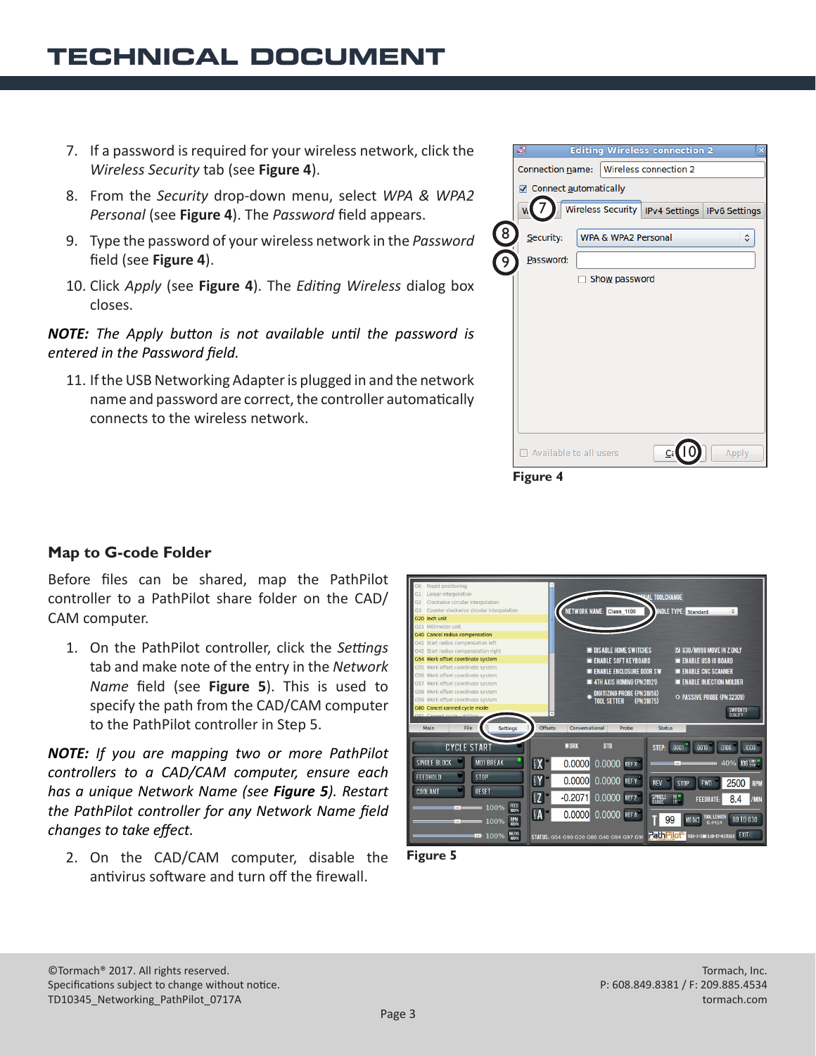- 7. If a password is required for your wireless network, click the *Wireless Security* tab (see **Figure 4**).
- 8. From the *Security* drop-down menu, select *WPA & WPA2 Personal* (see **Figure 4**). The *Password* field appears.
- 9. Type the password of your wireless network in the *Password* field (see **Figure 4**).
- 10. Click *Apply* (see **Figure 4**). The *Editing Wireless* dialog box closes.

*NOTE: The Apply button is not available until the password is entered in the Password field.*

11. If the USB Networking Adapter is plugged in and the network name and password are correct, the controller automatically connects to the wireless network.



# **Map to G-code Folder**

Before files can be shared, map the PathPilot controller to a PathPilot share folder on the CAD/ CAM computer.

1. On the PathPilot controller, click the *Settings* tab and make note of the entry in the *Network Name* field (see **Figure 5**). This is used to specify the path from the CAD/CAM computer to the PathPilot controller in Step 5.

*NOTE: If you are mapping two or more PathPilot controllers to a CAD/CAM computer, ensure each has a unique Network Name (see Figure 5). Restart the PathPilot controller for any Network Name field changes to take effect.*

2. On the CAD/CAM computer, disable the antivirus software and turn off the firewall.



**Figure 5**